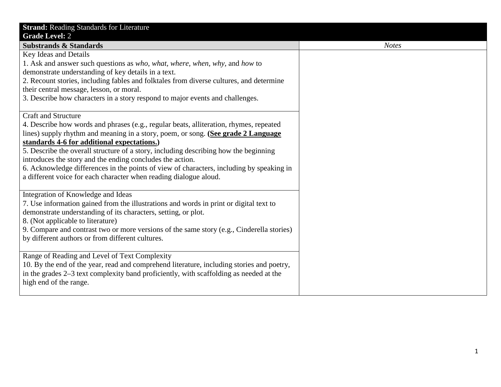| <b>Strand: Reading Standards for Literature</b>                                           |              |
|-------------------------------------------------------------------------------------------|--------------|
| <b>Grade Level: 2</b>                                                                     |              |
| <b>Substrands &amp; Standards</b>                                                         | <b>Notes</b> |
| <b>Key Ideas and Details</b>                                                              |              |
| 1. Ask and answer such questions as who, what, where, when, why, and how to               |              |
| demonstrate understanding of key details in a text.                                       |              |
| 2. Recount stories, including fables and folktales from diverse cultures, and determine   |              |
| their central message, lesson, or moral.                                                  |              |
| 3. Describe how characters in a story respond to major events and challenges.             |              |
|                                                                                           |              |
| <b>Craft and Structure</b>                                                                |              |
| 4. Describe how words and phrases (e.g., regular beats, alliteration, rhymes, repeated    |              |
| lines) supply rhythm and meaning in a story, poem, or song. (See grade 2 Language         |              |
| standards 4-6 for additional expectations.)                                               |              |
| 5. Describe the overall structure of a story, including describing how the beginning      |              |
| introduces the story and the ending concludes the action.                                 |              |
| 6. Acknowledge differences in the points of view of characters, including by speaking in  |              |
| a different voice for each character when reading dialogue aloud.                         |              |
|                                                                                           |              |
| Integration of Knowledge and Ideas                                                        |              |
| 7. Use information gained from the illustrations and words in print or digital text to    |              |
| demonstrate understanding of its characters, setting, or plot.                            |              |
| 8. (Not applicable to literature)                                                         |              |
| 9. Compare and contrast two or more versions of the same story (e.g., Cinderella stories) |              |
| by different authors or from different cultures.                                          |              |
|                                                                                           |              |
| Range of Reading and Level of Text Complexity                                             |              |
| 10. By the end of the year, read and comprehend literature, including stories and poetry, |              |
| in the grades 2–3 text complexity band proficiently, with scaffolding as needed at the    |              |
| high end of the range.                                                                    |              |
|                                                                                           |              |
|                                                                                           |              |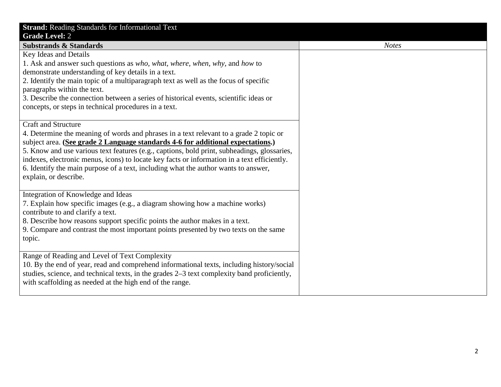| <b>Strand: Reading Standards for Informational Text</b><br><b>Grade Level: 2</b>                                           |              |
|----------------------------------------------------------------------------------------------------------------------------|--------------|
| <b>Substrands &amp; Standards</b>                                                                                          | <b>Notes</b> |
| <b>Key Ideas and Details</b>                                                                                               |              |
| 1. Ask and answer such questions as <i>who</i> , <i>what</i> , <i>where</i> , <i>when</i> , <i>why</i> , and <i>how</i> to |              |
| demonstrate understanding of key details in a text.                                                                        |              |
| 2. Identify the main topic of a multiparagraph text as well as the focus of specific                                       |              |
| paragraphs within the text.                                                                                                |              |
| 3. Describe the connection between a series of historical events, scientific ideas or                                      |              |
| concepts, or steps in technical procedures in a text.                                                                      |              |
|                                                                                                                            |              |
| <b>Craft and Structure</b>                                                                                                 |              |
| 4. Determine the meaning of words and phrases in a text relevant to a grade 2 topic or                                     |              |
| subject area. (See grade 2 Language standards 4-6 for additional expectations.)                                            |              |
| 5. Know and use various text features (e.g., captions, bold print, subheadings, glossaries,                                |              |
| indexes, electronic menus, icons) to locate key facts or information in a text efficiently.                                |              |
| 6. Identify the main purpose of a text, including what the author wants to answer,                                         |              |
| explain, or describe.                                                                                                      |              |
|                                                                                                                            |              |
| Integration of Knowledge and Ideas                                                                                         |              |
| 7. Explain how specific images (e.g., a diagram showing how a machine works)                                               |              |
| contribute to and clarify a text.                                                                                          |              |
| 8. Describe how reasons support specific points the author makes in a text.                                                |              |
| 9. Compare and contrast the most important points presented by two texts on the same                                       |              |
| topic.                                                                                                                     |              |
|                                                                                                                            |              |
| Range of Reading and Level of Text Complexity                                                                              |              |
| 10. By the end of year, read and comprehend informational texts, including history/social                                  |              |
| studies, science, and technical texts, in the grades 2–3 text complexity band proficiently,                                |              |
| with scaffolding as needed at the high end of the range.                                                                   |              |
|                                                                                                                            |              |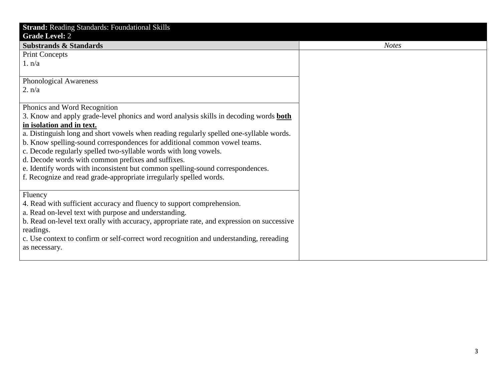| <b>Strand: Reading Standards: Foundational Skills</b>                                        |              |
|----------------------------------------------------------------------------------------------|--------------|
| <b>Grade Level: 2</b>                                                                        |              |
| <b>Substrands &amp; Standards</b>                                                            | <b>Notes</b> |
| <b>Print Concepts</b>                                                                        |              |
| 1. n/a                                                                                       |              |
|                                                                                              |              |
| <b>Phonological Awareness</b>                                                                |              |
| 2. n/a                                                                                       |              |
|                                                                                              |              |
| Phonics and Word Recognition                                                                 |              |
| 3. Know and apply grade-level phonics and word analysis skills in decoding words <b>both</b> |              |
| in isolation and in text.                                                                    |              |
| a. Distinguish long and short vowels when reading regularly spelled one-syllable words.      |              |
| b. Know spelling-sound correspondences for additional common vowel teams.                    |              |
| c. Decode regularly spelled two-syllable words with long vowels.                             |              |
| d. Decode words with common prefixes and suffixes.                                           |              |
| e. Identify words with inconsistent but common spelling-sound correspondences.               |              |
| f. Recognize and read grade-appropriate irregularly spelled words.                           |              |
|                                                                                              |              |
| Fluency                                                                                      |              |
| 4. Read with sufficient accuracy and fluency to support comprehension.                       |              |
| a. Read on-level text with purpose and understanding.                                        |              |
| b. Read on-level text orally with accuracy, appropriate rate, and expression on successive   |              |
| readings.                                                                                    |              |
| c. Use context to confirm or self-correct word recognition and understanding, rereading      |              |
| as necessary.                                                                                |              |
|                                                                                              |              |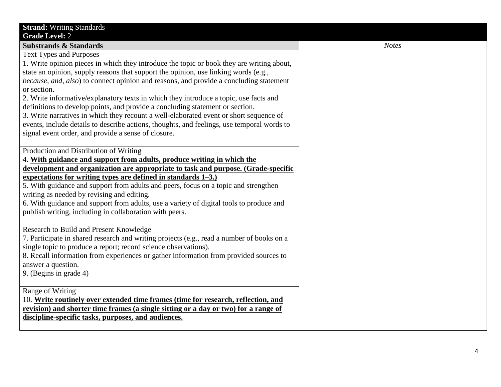| <b>Strand: Writing Standards</b>                                                           |
|--------------------------------------------------------------------------------------------|
| <b>Grade Level: 2</b>                                                                      |
| <b>Substrands &amp; Standards</b>                                                          |
| <b>Text Types and Purposes</b>                                                             |
| 1. Write opinion pieces in which they introduce the topic or book they are writing about,  |
| state an opinion, supply reasons that support the opinion, use linking words (e.g.,        |
| because, and, also) to connect opinion and reasons, and provide a concluding statement     |
| or section.                                                                                |
| 2. Write informative/explanatory texts in which they introduce a topic, use facts and      |
| definitions to develop points, and provide a concluding statement or section.              |
| 3. Write narratives in which they recount a well-elaborated event or short sequence of     |
| events, include details to describe actions, thoughts, and feelings, use temporal words to |
| signal event order, and provide a sense of closure.                                        |
| Production and Distribution of Writing                                                     |
| 4. With guidance and support from adults, produce writing in which the                     |
| development and organization are appropriate to task and purpose. (Grade-specific          |
| expectations for writing types are defined in standards $1-3$ .)                           |
| 5. With guidance and support from adults and peers, focus on a topic and strengthen        |
| writing as needed by revising and editing.                                                 |
| 6. With guidance and support from adults, use a variety of digital tools to produce and    |
| publish writing, including in collaboration with peers.                                    |
|                                                                                            |
| Research to Build and Present Knowledge                                                    |
| 7. Participate in shared research and writing projects (e.g., read a number of books on a  |
| single topic to produce a report; record science observations).                            |
| 8. Recall information from experiences or gather information from provided sources to      |
| answer a question.                                                                         |
| 9. (Begins in grade 4)                                                                     |
| Range of Writing                                                                           |
| 10. Write routinely over extended time frames (time for research, reflection, and          |
| revision) and shorter time frames (a single sitting or a day or two) for a range of        |
| discipline-specific tasks, purposes, and audiences.                                        |
|                                                                                            |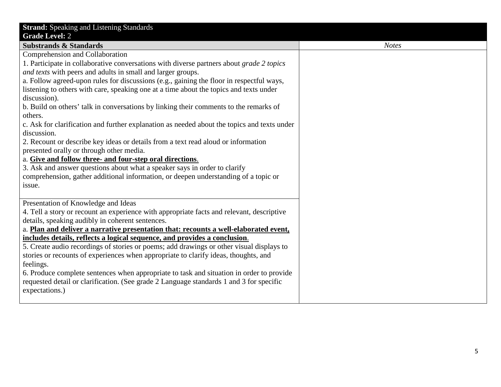| <b>Strand:</b> Speaking and Listening Standards                                             |
|---------------------------------------------------------------------------------------------|
| <b>Grade Level: 2</b>                                                                       |
| <b>Substrands &amp; Standards</b>                                                           |
| Comprehension and Collaboration                                                             |
| 1. Participate in collaborative conversations with diverse partners about grade 2 topics    |
| and texts with peers and adults in small and larger groups.                                 |
| a. Follow agreed-upon rules for discussions (e.g., gaining the floor in respectful ways,    |
| listening to others with care, speaking one at a time about the topics and texts under      |
| discussion).                                                                                |
| b. Build on others' talk in conversations by linking their comments to the remarks of       |
| others.                                                                                     |
| c. Ask for clarification and further explanation as needed about the topics and texts under |
| discussion.                                                                                 |
| 2. Recount or describe key ideas or details from a text read aloud or information           |
| presented orally or through other media.                                                    |
| a. Give and follow three- and four-step oral directions.                                    |
| 3. Ask and answer questions about what a speaker says in order to clarify                   |
| comprehension, gather additional information, or deepen understanding of a topic or         |
| issue.                                                                                      |
|                                                                                             |
| Presentation of Knowledge and Ideas                                                         |
| 4. Tell a story or recount an experience with appropriate facts and relevant, descriptive   |
| details, speaking audibly in coherent sentences.                                            |
| a. Plan and deliver a narrative presentation that: recounts a well-elaborated event,        |
| includes details, reflects a logical sequence, and provides a conclusion.                   |
| 5. Create audio recordings of stories or poems; add drawings or other visual displays to    |
| stories or recounts of experiences when appropriate to clarify ideas, thoughts, and         |
| feelings.                                                                                   |
| 6. Produce complete sentences when appropriate to task and situation in order to provide    |
| requested detail or clarification. (See grade 2 Language standards 1 and 3 for specific     |
| expectations.)                                                                              |
|                                                                                             |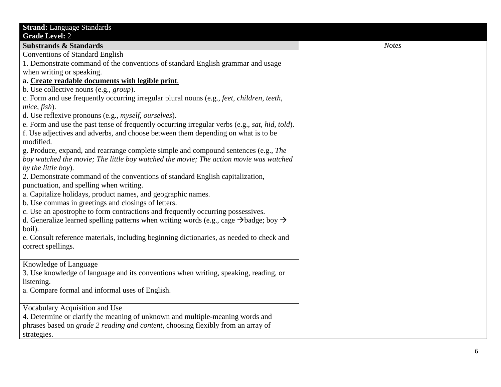| <b>Strand:</b> Language Standards                                                                             |              |
|---------------------------------------------------------------------------------------------------------------|--------------|
| <b>Grade Level: 2</b>                                                                                         |              |
| <b>Substrands &amp; Standards</b>                                                                             | <b>Notes</b> |
| <b>Conventions of Standard English</b>                                                                        |              |
| 1. Demonstrate command of the conventions of standard English grammar and usage                               |              |
| when writing or speaking.                                                                                     |              |
| a. Create readable documents with legible print.                                                              |              |
| b. Use collective nouns (e.g., <i>group</i> ).                                                                |              |
| c. Form and use frequently occurring irregular plural nouns (e.g., feet, children, teeth,                     |              |
| mice, fish).                                                                                                  |              |
| d. Use reflexive pronouns (e.g., <i>myself, ourselves</i> ).                                                  |              |
| e. Form and use the past tense of frequently occurring irregular verbs (e.g., sat, hid, told).                |              |
| f. Use adjectives and adverbs, and choose between them depending on what is to be                             |              |
| modified.                                                                                                     |              |
| g. Produce, expand, and rearrange complete simple and compound sentences (e.g., The                           |              |
| boy watched the movie; The little boy watched the movie; The action movie was watched                         |              |
| by the little boy).                                                                                           |              |
| 2. Demonstrate command of the conventions of standard English capitalization,                                 |              |
| punctuation, and spelling when writing.                                                                       |              |
| a. Capitalize holidays, product names, and geographic names.                                                  |              |
| b. Use commas in greetings and closings of letters.                                                           |              |
| c. Use an apostrophe to form contractions and frequently occurring possessives.                               |              |
| d. Generalize learned spelling patterns when writing words (e.g., cage $\rightarrow$ badge; boy $\rightarrow$ |              |
| boil).                                                                                                        |              |
| e. Consult reference materials, including beginning dictionaries, as needed to check and                      |              |
| correct spellings.                                                                                            |              |
|                                                                                                               |              |
| Knowledge of Language                                                                                         |              |
| 3. Use knowledge of language and its conventions when writing, speaking, reading, or                          |              |
| listening.                                                                                                    |              |
| a. Compare formal and informal uses of English.                                                               |              |
|                                                                                                               |              |
| Vocabulary Acquisition and Use                                                                                |              |
| 4. Determine or clarify the meaning of unknown and multiple-meaning words and                                 |              |
| phrases based on <i>grade 2 reading and content</i> , choosing flexibly from an array of                      |              |
| strategies.                                                                                                   |              |